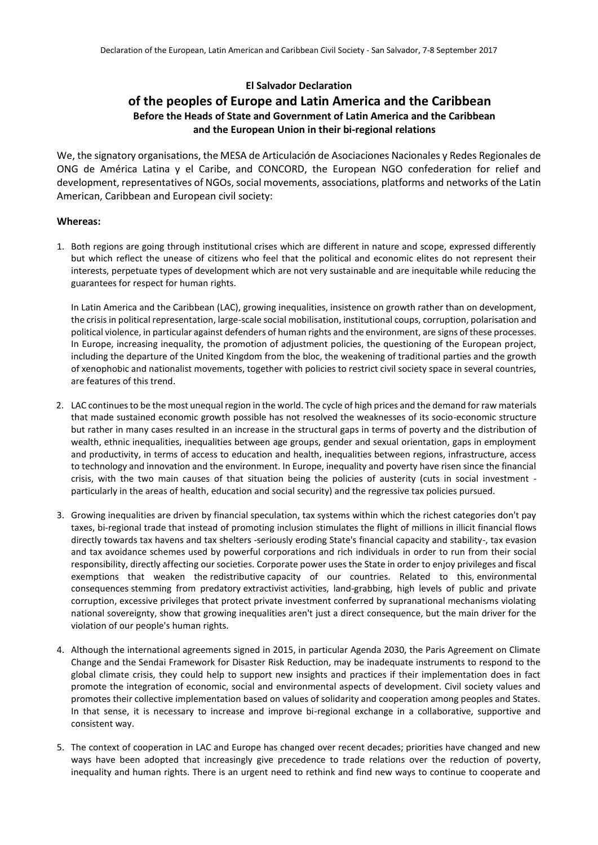# **El Salvador Declaration**

# **of the peoples of Europe and Latin America and the Caribbean Before the Heads of State and Government of Latin America and the Caribbean and the European Union in their bi-regional relations**

We, the signatory organisations, the MESA de Articulación de Asociaciones Nacionales y Redes Regionales de ONG de América Latina y el Caribe, and CONCORD, the European NGO confederation for relief and development, representatives of NGOs, social movements, associations, platforms and networks of the Latin American, Caribbean and European civil society:

## **Whereas:**

1. Both regions are going through institutional crises which are different in nature and scope, expressed differently but which reflect the unease of citizens who feel that the political and economic elites do not represent their interests, perpetuate types of development which are not very sustainable and are inequitable while reducing the guarantees for respect for human rights.

In Latin America and the Caribbean (LAC), growing inequalities, insistence on growth rather than on development, the crisis in political representation, large-scale social mobilisation, institutional coups, corruption, polarisation and political violence, in particular against defenders of human rights and the environment, are signs of these processes. In Europe, increasing inequality, the promotion of adjustment policies, the questioning of the European project, including the departure of the United Kingdom from the bloc, the weakening of traditional parties and the growth of xenophobic and nationalist movements, together with policies to restrict civil society space in several countries, are features of this trend.

- 2. LAC continues to be the most unequal region in the world. The cycle of high prices and the demand for raw materials that made sustained economic growth possible has not resolved the weaknesses of its socio-economic structure but rather in many cases resulted in an increase in the structural gaps in terms of poverty and the distribution of wealth, ethnic inequalities, inequalities between age groups, gender and sexual orientation, gaps in employment and productivity, in terms of access to education and health, inequalities between regions, infrastructure, access to technology and innovation and the environment. In Europe, inequality and poverty have risen since the financial crisis, with the two main causes of that situation being the policies of austerity (cuts in social investment particularly in the areas of health, education and social security) and the regressive tax policies pursued.
- 3. Growing inequalities are driven by financial speculation, tax systems within which the richest categories don't pay taxes, bi-regional trade that instead of promoting inclusion stimulates the flight of millions in illicit financial flows directly towards tax havens and tax shelters -seriously eroding State's financial capacity and stability-, tax evasion and tax avoidance schemes used by powerful corporations and rich individuals in order to run from their social responsibility, directly affecting our societies. Corporate power uses the State in order to enjoy privileges and fiscal exemptions that weaken the redistributive capacity of our countries. Related to this, environmental consequences stemming from predatory extractivist activities, land-grabbing, high levels of public and private corruption, excessive privileges that protect private investment conferred by supranational mechanisms violating national sovereignty, show that growing inequalities aren't just a direct consequence, but the main driver for the violation of our people's human rights.
- 4. Although the international agreements signed in 2015, in particular Agenda 2030, the Paris Agreement on Climate Change and the Sendai Framework for Disaster Risk Reduction, may be inadequate instruments to respond to the global climate crisis, they could help to support new insights and practices if their implementation does in fact promote the integration of economic, social and environmental aspects of development. Civil society values and promotes their collective implementation based on values of solidarity and cooperation among peoples and States. In that sense, it is necessary to increase and improve bi-regional exchange in a collaborative, supportive and consistent way.
- 5. The context of cooperation in LAC and Europe has changed over recent decades; priorities have changed and new ways have been adopted that increasingly give precedence to trade relations over the reduction of poverty, inequality and human rights. There is an urgent need to rethink and find new ways to continue to cooperate and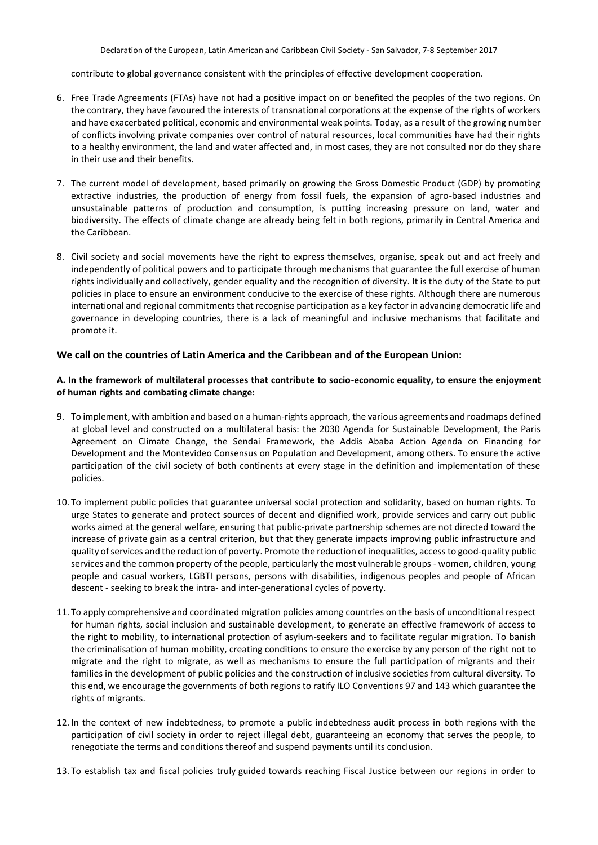contribute to global governance consistent with the principles of effective development cooperation.

- 6. Free Trade Agreements (FTAs) have not had a positive impact on or benefited the peoples of the two regions. On the contrary, they have favoured the interests of transnational corporations at the expense of the rights of workers and have exacerbated political, economic and environmental weak points. Today, as a result of the growing number of conflicts involving private companies over control of natural resources, local communities have had their rights to a healthy environment, the land and water affected and, in most cases, they are not consulted nor do they share in their use and their benefits.
- 7. The current model of development, based primarily on growing the Gross Domestic Product (GDP) by promoting extractive industries, the production of energy from fossil fuels, the expansion of agro-based industries and unsustainable patterns of production and consumption, is putting increasing pressure on land, water and biodiversity. The effects of climate change are already being felt in both regions, primarily in Central America and the Caribbean.
- 8. Civil society and social movements have the right to express themselves, organise, speak out and act freely and independently of political powers and to participate through mechanisms that guarantee the full exercise of human rights individually and collectively, gender equality and the recognition of diversity. It is the duty of the State to put policies in place to ensure an environment conducive to the exercise of these rights. Although there are numerous international and regional commitments that recognise participation as a key factor in advancing democratic life and governance in developing countries, there is a lack of meaningful and inclusive mechanisms that facilitate and promote it.

#### **We call on the countries of Latin America and the Caribbean and of the European Union:**

#### **A. In the framework of multilateral processes that contribute to socio-economic equality, to ensure the enjoyment of human rights and combating climate change:**

- 9. To implement, with ambition and based on a human-rights approach, the various agreements and roadmaps defined at global level and constructed on a multilateral basis: the 2030 Agenda for Sustainable Development, the Paris Agreement on Climate Change, the Sendai Framework, the Addis Ababa Action Agenda on Financing for Development and the Montevideo Consensus on Population and Development, among others. To ensure the active participation of the civil society of both continents at every stage in the definition and implementation of these policies.
- 10. To implement public policies that guarantee universal social protection and solidarity, based on human rights. To urge States to generate and protect sources of decent and dignified work, provide services and carry out public works aimed at the general welfare, ensuring that public-private partnership schemes are not directed toward the increase of private gain as a central criterion, but that they generate impacts improving public infrastructure and quality of services and the reduction of poverty. Promote the reduction of inequalities, access to good-quality public services and the common property of the people, particularly the most vulnerable groups - women, children, young people and casual workers, LGBTI persons, persons with disabilities, indigenous peoples and people of African descent - seeking to break the intra- and inter-generational cycles of poverty.
- 11. To apply comprehensive and coordinated migration policies among countries on the basis of unconditional respect for human rights, social inclusion and sustainable development, to generate an effective framework of access to the right to mobility, to international protection of asylum-seekers and to facilitate regular migration. To banish the criminalisation of human mobility, creating conditions to ensure the exercise by any person of the right not to migrate and the right to migrate, as well as mechanisms to ensure the full participation of migrants and their families in the development of public policies and the construction of inclusive societies from cultural diversity. To this end, we encourage the governments of both regions to ratify ILO Conventions 97 and 143 which guarantee the rights of migrants.
- 12. In the context of new indebtedness, to promote a public indebtedness audit process in both regions with the participation of civil society in order to reject illegal debt, guaranteeing an economy that serves the people, to renegotiate the terms and conditions thereof and suspend payments until its conclusion.
- 13. To establish tax and fiscal policies truly guided towards reaching Fiscal Justice between our regions in order to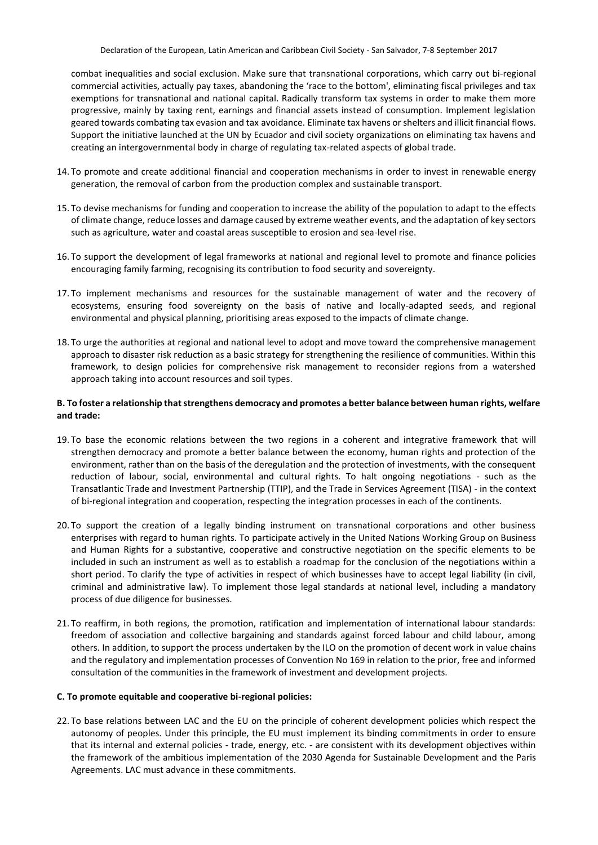combat inequalities and social exclusion. Make sure that transnational corporations, which carry out bi-regional commercial activities, actually pay taxes, abandoning the 'race to the bottom', eliminating fiscal privileges and tax exemptions for transnational and national capital. Radically transform tax systems in order to make them more progressive, mainly by taxing rent, earnings and financial assets instead of consumption. Implement legislation geared towards combating tax evasion and tax avoidance. Eliminate tax havens or shelters and illicit financial flows. Support the initiative launched at the UN by Ecuador and civil society organizations on eliminating tax havens and creating an intergovernmental body in charge of regulating tax-related aspects of global trade.

- 14. To promote and create additional financial and cooperation mechanisms in order to invest in renewable energy generation, the removal of carbon from the production complex and sustainable transport.
- 15. To devise mechanisms for funding and cooperation to increase the ability of the population to adapt to the effects of climate change, reduce losses and damage caused by extreme weather events, and the adaptation of key sectors such as agriculture, water and coastal areas susceptible to erosion and sea-level rise.
- 16. To support the development of legal frameworks at national and regional level to promote and finance policies encouraging family farming, recognising its contribution to food security and sovereignty.
- 17. To implement mechanisms and resources for the sustainable management of water and the recovery of ecosystems, ensuring food sovereignty on the basis of native and locally-adapted seeds, and regional environmental and physical planning, prioritising areas exposed to the impacts of climate change.
- 18. To urge the authorities at regional and national level to adopt and move toward the comprehensive management approach to disaster risk reduction as a basic strategy for strengthening the resilience of communities. Within this framework, to design policies for comprehensive risk management to reconsider regions from a watershed approach taking into account resources and soil types.

### **B. To foster a relationship that strengthens democracy and promotes a better balance between human rights, welfare and trade:**

- 19. To base the economic relations between the two regions in a coherent and integrative framework that will strengthen democracy and promote a better balance between the economy, human rights and protection of the environment, rather than on the basis of the deregulation and the protection of investments, with the consequent reduction of labour, social, environmental and cultural rights. To halt ongoing negotiations - such as the Transatlantic Trade and Investment Partnership (TTIP), and the Trade in Services Agreement (TISA) - in the context of bi-regional integration and cooperation, respecting the integration processes in each of the continents.
- 20. To support the creation of a legally binding instrument on transnational corporations and other business enterprises with regard to human rights. To participate actively in the United Nations Working Group on Business and Human Rights for a substantive, cooperative and constructive negotiation on the specific elements to be included in such an instrument as well as to establish a roadmap for the conclusion of the negotiations within a short period. To clarify the type of activities in respect of which businesses have to accept legal liability (in civil, criminal and administrative law). To implement those legal standards at national level, including a mandatory process of due diligence for businesses.
- 21. To reaffirm, in both regions, the promotion, ratification and implementation of international labour standards: freedom of association and collective bargaining and standards against forced labour and child labour, among others. In addition, to support the process undertaken by the ILO on the promotion of decent work in value chains and the regulatory and implementation processes of Convention No 169 in relation to the prior, free and informed consultation of the communities in the framework of investment and development projects.

#### **C. To promote equitable and cooperative bi-regional policies:**

22. To base relations between LAC and the EU on the principle of coherent development policies which respect the autonomy of peoples. Under this principle, the EU must implement its binding commitments in order to ensure that its internal and external policies - trade, energy, etc. - are consistent with its development objectives within the framework of the ambitious implementation of the 2030 Agenda for Sustainable Development and the Paris Agreements. LAC must advance in these commitments.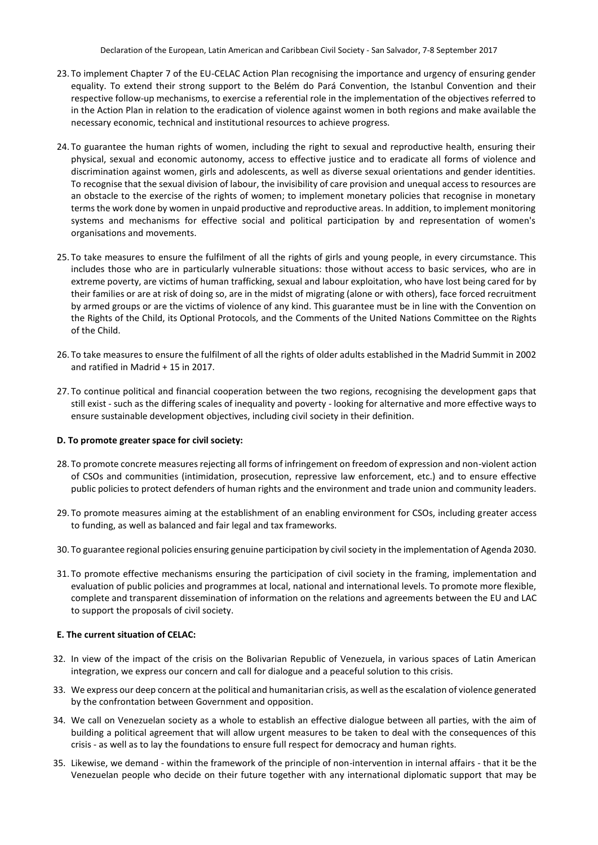- 23. To implement Chapter 7 of the EU-CELAC Action Plan recognising the importance and urgency of ensuring gender equality. To extend their strong support to the Belém do Pará Convention, the Istanbul Convention and their respective follow-up mechanisms, to exercise a referential role in the implementation of the objectives referred to in the Action Plan in relation to the eradication of violence against women in both regions and make available the necessary economic, technical and institutional resources to achieve progress.
- 24. To guarantee the human rights of women, including the right to sexual and reproductive health, ensuring their physical, sexual and economic autonomy, access to effective justice and to eradicate all forms of violence and discrimination against women, girls and adolescents, as well as diverse sexual orientations and gender identities. To recognise that the sexual division of labour, the invisibility of care provision and unequal access to resources are an obstacle to the exercise of the rights of women; to implement monetary policies that recognise in monetary terms the work done by women in unpaid productive and reproductive areas. In addition, to implement monitoring systems and mechanisms for effective social and political participation by and representation of women's organisations and movements.
- 25. To take measures to ensure the fulfilment of all the rights of girls and young people, in every circumstance. This includes those who are in particularly vulnerable situations: those without access to basic services, who are in extreme poverty, are victims of human trafficking, sexual and labour exploitation, who have lost being cared for by their families or are at risk of doing so, are in the midst of migrating (alone or with others), face forced recruitment by armed groups or are the victims of violence of any kind. This guarantee must be in line with the Convention on the Rights of the Child, its Optional Protocols, and the Comments of the United Nations Committee on the Rights of the Child.
- 26. To take measures to ensure the fulfilment of all the rights of older adults established in the Madrid Summit in 2002 and ratified in Madrid + 15 in 2017.
- 27. To continue political and financial cooperation between the two regions, recognising the development gaps that still exist - such as the differing scales of inequality and poverty - looking for alternative and more effective ways to ensure sustainable development objectives, including civil society in their definition.

### **D. To promote greater space for civil society:**

- 28. To promote concrete measures rejecting all forms of infringement on freedom of expression and non-violent action of CSOs and communities (intimidation, prosecution, repressive law enforcement, etc.) and to ensure effective public policies to protect defenders of human rights and the environment and trade union and community leaders.
- 29. To promote measures aiming at the establishment of an enabling environment for CSOs, including greater access to funding, as well as balanced and fair legal and tax frameworks.
- 30. To guarantee regional policies ensuring genuine participation by civil society in the implementation of Agenda 2030.
- 31. To promote effective mechanisms ensuring the participation of civil society in the framing, implementation and evaluation of public policies and programmes at local, national and international levels. To promote more flexible, complete and transparent dissemination of information on the relations and agreements between the EU and LAC to support the proposals of civil society.

#### **E. The current situation of CELAC:**

- 32. In view of the impact of the crisis on the Bolivarian Republic of Venezuela, in various spaces of Latin American integration, we express our concern and call for dialogue and a peaceful solution to this crisis.
- 33. We express our deep concern at the political and humanitarian crisis, as well as the escalation of violence generated by the confrontation between Government and opposition.
- 34. We call on Venezuelan society as a whole to establish an effective dialogue between all parties, with the aim of building a political agreement that will allow urgent measures to be taken to deal with the consequences of this crisis - as well as to lay the foundations to ensure full respect for democracy and human rights.
- 35. Likewise, we demand within the framework of the principle of non-intervention in internal affairs that it be the Venezuelan people who decide on their future together with any international diplomatic support that may be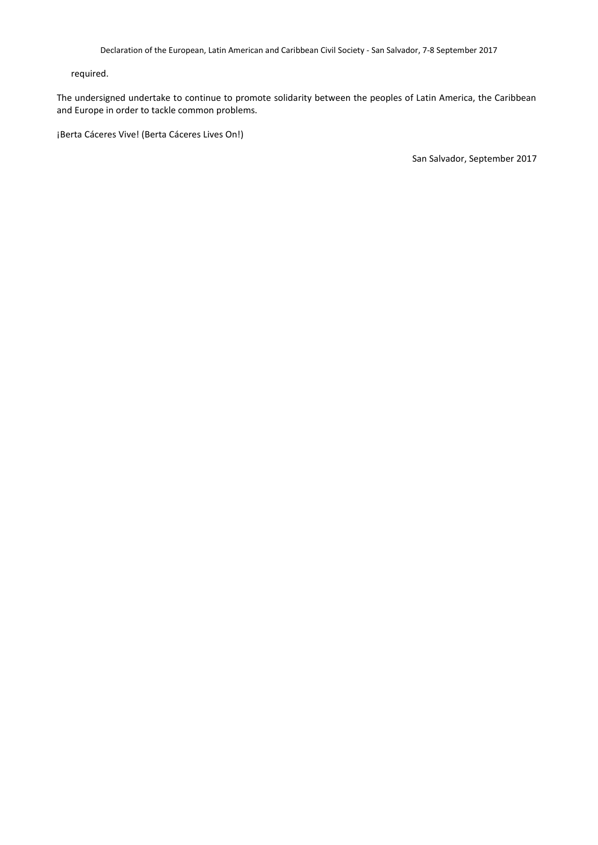required.

The undersigned undertake to continue to promote solidarity between the peoples of Latin America, the Caribbean and Europe in order to tackle common problems.

¡Berta Cáceres Vive! (Berta Cáceres Lives On!)

San Salvador, September 2017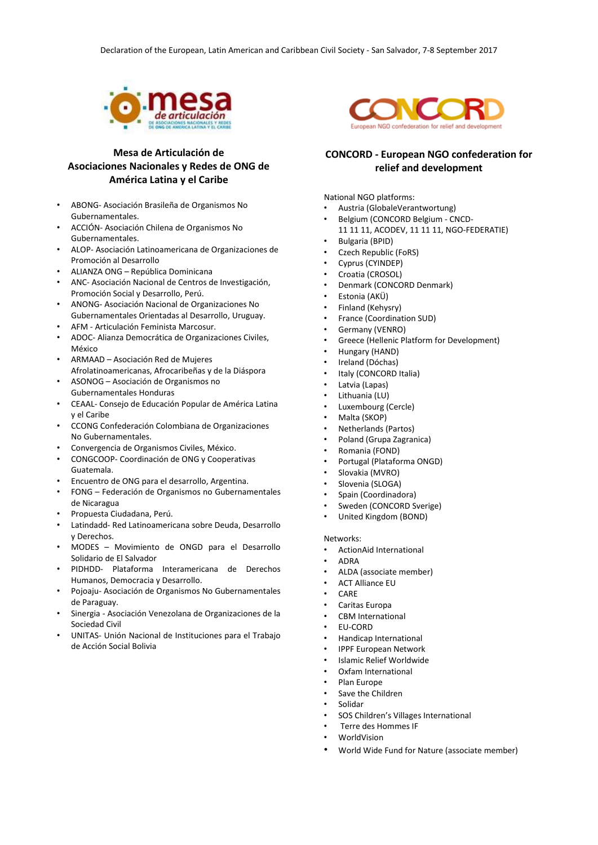

# **Mesa de Articulación de Asociaciones Nacionales y Redes de ONG de América Latina y el Caribe**

- ABONG- Asociación Brasileña de Organismos No Gubernamentales.
- ACCIÓN- Asociación Chilena de Organismos No Gubernamentales.
- ALOP- Asociación Latinoamericana de Organizaciones de Promoción al Desarrollo
- ALIANZA ONG República Dominicana
- ANC- Asociación Nacional de Centros de Investigación, Promoción Social y Desarrollo, Perú.
- ANONG- Asociación Nacional de Organizaciones No Gubernamentales Orientadas al Desarrollo, Uruguay.
- AFM Articulación Feminista Marcosur.
- ADOC- Alianza Democrática de Organizaciones Civiles, México
- ARMAAD Asociación Red de Mujeres Afrolatinoamericanas, Afrocaribeñas y de la Diáspora
- ASONOG Asociación de Organismos no Gubernamentales Honduras
- CEAAL- Consejo de Educación Popular de América Latina y el Caribe
- CCONG Confederación Colombiana de Organizaciones No Gubernamentales.
- Convergencia de Organismos Civiles, México.
- CONGCOOP- Coordinación de ONG y Cooperativas Guatemala.
- Encuentro de ONG para el desarrollo, Argentina.
- FONG Federación de Organismos no Gubernamentales de Nicaragua
- Propuesta Ciudadana, Perú.
- Latindadd- Red Latinoamericana sobre Deuda, Desarrollo y Derechos.
- MODES Movimiento de ONGD para el Desarrollo Solidario de El Salvador
- PIDHDD- Plataforma Interamericana de Derechos Humanos, Democracia y Desarrollo.
- Pojoaju- Asociación de Organismos No Gubernamentales de Paraguay.
- Sinergia Asociación Venezolana de Organizaciones de la Sociedad Civil
- UNITAS- Unión Nacional de Instituciones para el Trabajo de Acción Social Bolivia



## **CONCORD - European NGO confederation for relief and development**

National NGO platforms:

- Austria (GlobaleVerantwortung)
- Belgium (CONCORD Belgium CNCD-
	- 11 11 11, ACODEV, 11 11 11, NGO-FEDERATIE)
- Bulgaria (BPID)
- Czech Republic (FoRS)
- Cyprus (CYINDEP) • Croatia (CROSOL)
- Denmark (CONCORD Denmark)
- Estonia (AKÜ)
- Finland (Kehysry)
- France (Coordination SUD)
- Germany (VENRO)
- Greece (Hellenic Platform for Development)
- Hungary (HAND)
- Ireland (Dóchas)
- Italy (CONCORD Italia)
- Latvia (Lapas)
- Lithuania (LU)
- Luxembourg (Cercle)
- Malta (SKOP)
- Netherlands (Partos)
- Poland (Grupa Zagranica)
- Romania (FOND)
- Portugal (Plataforma ONGD)
- Slovakia (MVRO)
- Slovenia (SLOGA)
- Spain (Coordinadora)
- Sweden (CONCORD Sverige)
- United Kingdom (BOND)

#### Networks:

- ActionAid International
- ADRA
- ALDA (associate member)
- ACT Alliance EU
- CARE
- Caritas Europa
- CBM International
- EU-CORD
- Handicap International
- IPPF European Network
- Islamic Relief Worldwide
- Oxfam International
- Plan Europe
- Save the Children
- Solidar
- SOS Children's Villages International
- Terre des Hommes IF
- **WorldVision**
- World Wide Fund for Nature (associate member)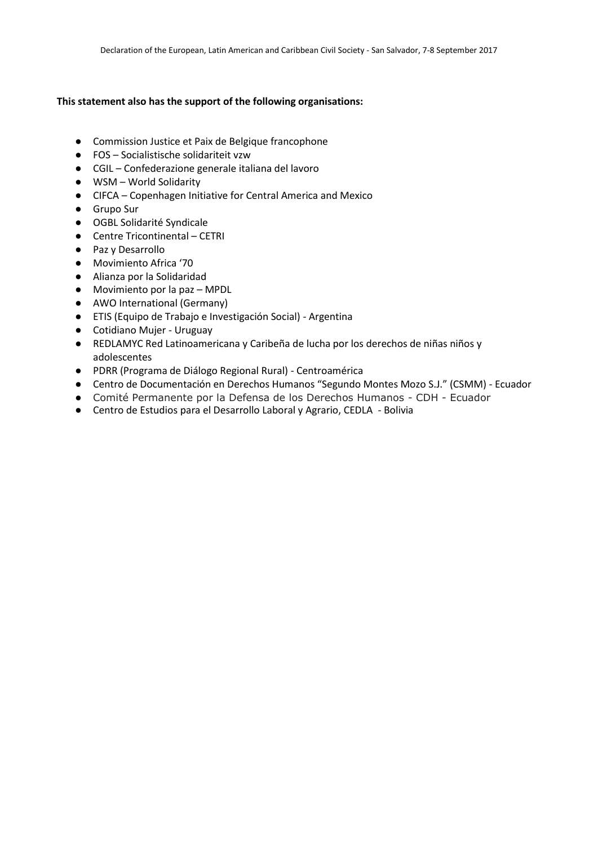# **This statement also has the support of the following organisations:**

- Commission Justice et Paix de Belgique francophone
- FOS Socialistische solidariteit vzw
- CGIL Confederazione generale italiana del lavoro
- WSM World Solidarity
- CIFCA Copenhagen Initiative for Central America and Mexico
- Grupo Sur
- OGBL Solidarité Syndicale
- Centre Tricontinental CETRI
- Paz y Desarrollo
- Movimiento Africa '70
- Alianza por la Solidaridad
- Movimiento por la paz MPDL
- AWO International (Germany)
- ETIS (Equipo de Trabajo e Investigación Social) Argentina
- Cotidiano Mujer Uruguay
- REDLAMYC Red Latinoamericana y Caribeña de lucha por los derechos de niñas niños y adolescentes
- PDRR (Programa de Diálogo Regional Rural) Centroamérica
- Centro de Documentación en Derechos Humanos "Segundo Montes Mozo S.J." (CSMM) Ecuador
- Comité Permanente por la Defensa de los Derechos Humanos CDH Ecuador
- Centro de Estudios para el Desarrollo Laboral y Agrario, CEDLA Bolivia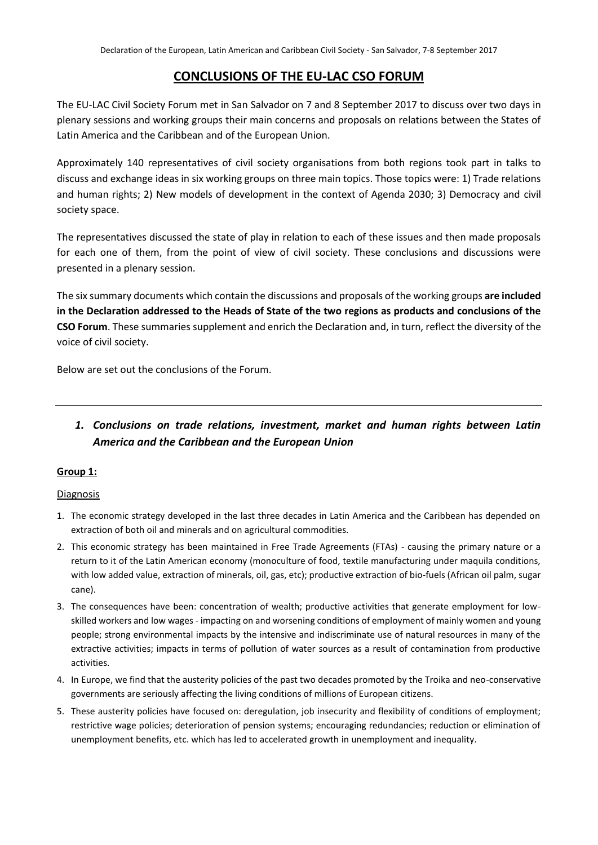# **CONCLUSIONS OF THE EU-LAC CSO FORUM**

The EU-LAC Civil Society Forum met in San Salvador on 7 and 8 September 2017 to discuss over two days in plenary sessions and working groups their main concerns and proposals on relations between the States of Latin America and the Caribbean and of the European Union.

Approximately 140 representatives of civil society organisations from both regions took part in talks to discuss and exchange ideas in six working groups on three main topics. Those topics were: 1) Trade relations and human rights; 2) New models of development in the context of Agenda 2030; 3) Democracy and civil society space.

The representatives discussed the state of play in relation to each of these issues and then made proposals for each one of them, from the point of view of civil society. These conclusions and discussions were presented in a plenary session.

The six summary documents which contain the discussions and proposals of the working groups **are included in the Declaration addressed to the Heads of State of the two regions as products and conclusions of the CSO Forum**. These summaries supplement and enrich the Declaration and, in turn, reflect the diversity of the voice of civil society.

Below are set out the conclusions of the Forum.

# *1. Conclusions on trade relations, investment, market and human rights between Latin America and the Caribbean and the European Union*

# **Group 1:**

### Diagnosis

- 1. The economic strategy developed in the last three decades in Latin America and the Caribbean has depended on extraction of both oil and minerals and on agricultural commodities.
- 2. This economic strategy has been maintained in Free Trade Agreements (FTAs) causing the primary nature or a return to it of the Latin American economy (monoculture of food, textile manufacturing under maquila conditions, with low added value, extraction of minerals, oil, gas, etc); productive extraction of bio-fuels (African oil palm, sugar cane).
- 3. The consequences have been: concentration of wealth; productive activities that generate employment for lowskilled workers and low wages - impacting on and worsening conditions of employment of mainly women and young people; strong environmental impacts by the intensive and indiscriminate use of natural resources in many of the extractive activities; impacts in terms of pollution of water sources as a result of contamination from productive activities.
- 4. In Europe, we find that the austerity policies of the past two decades promoted by the Troika and neo-conservative governments are seriously affecting the living conditions of millions of European citizens.
- 5. These austerity policies have focused on: deregulation, job insecurity and flexibility of conditions of employment; restrictive wage policies; deterioration of pension systems; encouraging redundancies; reduction or elimination of unemployment benefits, etc. which has led to accelerated growth in unemployment and inequality.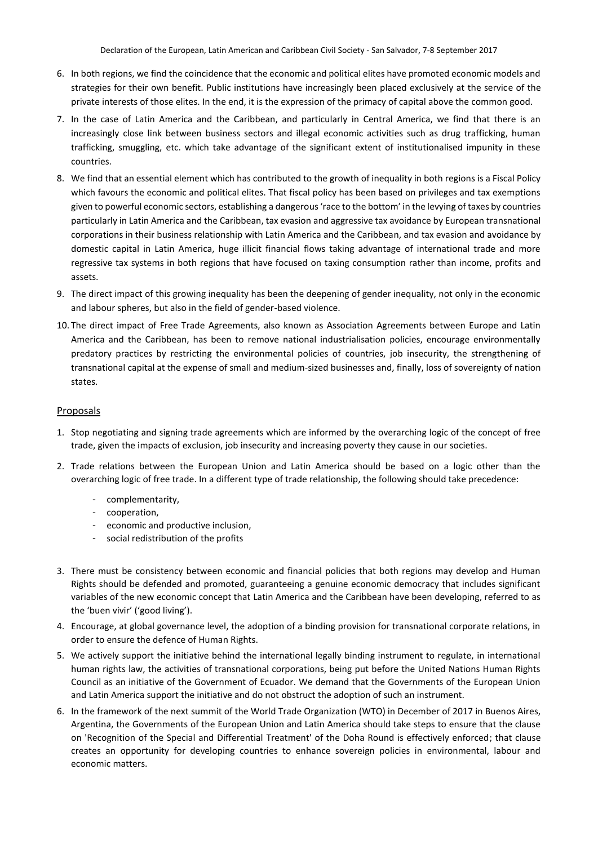- 6. In both regions, we find the coincidence that the economic and political elites have promoted economic models and strategies for their own benefit. Public institutions have increasingly been placed exclusively at the service of the private interests of those elites. In the end, it is the expression of the primacy of capital above the common good.
- 7. In the case of Latin America and the Caribbean, and particularly in Central America, we find that there is an increasingly close link between business sectors and illegal economic activities such as drug trafficking, human trafficking, smuggling, etc. which take advantage of the significant extent of institutionalised impunity in these countries.
- 8. We find that an essential element which has contributed to the growth of inequality in both regions is a Fiscal Policy which favours the economic and political elites. That fiscal policy has been based on privileges and tax exemptions given to powerful economic sectors, establishing a dangerous 'race to the bottom' in the levying of taxes by countries particularly in Latin America and the Caribbean, tax evasion and aggressive tax avoidance by European transnational corporations in their business relationship with Latin America and the Caribbean, and tax evasion and avoidance by domestic capital in Latin America, huge illicit financial flows taking advantage of international trade and more regressive tax systems in both regions that have focused on taxing consumption rather than income, profits and assets.
- 9. The direct impact of this growing inequality has been the deepening of gender inequality, not only in the economic and labour spheres, but also in the field of gender-based violence.
- 10. The direct impact of Free Trade Agreements, also known as Association Agreements between Europe and Latin America and the Caribbean, has been to remove national industrialisation policies, encourage environmentally predatory practices by restricting the environmental policies of countries, job insecurity, the strengthening of transnational capital at the expense of small and medium-sized businesses and, finally, loss of sovereignty of nation states.

## **Proposals**

- 1. Stop negotiating and signing trade agreements which are informed by the overarching logic of the concept of free trade, given the impacts of exclusion, job insecurity and increasing poverty they cause in our societies.
- 2. Trade relations between the European Union and Latin America should be based on a logic other than the overarching logic of free trade. In a different type of trade relationship, the following should take precedence:
	- complementarity,
	- cooperation,
	- economic and productive inclusion,
	- social redistribution of the profits
- 3. There must be consistency between economic and financial policies that both regions may develop and Human Rights should be defended and promoted, guaranteeing a genuine economic democracy that includes significant variables of the new economic concept that Latin America and the Caribbean have been developing, referred to as the 'buen vivir' ('good living').
- 4. Encourage, at global governance level, the adoption of a binding provision for transnational corporate relations, in order to ensure the defence of Human Rights.
- 5. We actively support the initiative behind the international legally binding instrument to regulate, in international human rights law, the activities of transnational corporations, being put before the United Nations Human Rights Council as an initiative of the Government of Ecuador. We demand that the Governments of the European Union and Latin America support the initiative and do not obstruct the adoption of such an instrument.
- 6. In the framework of the next summit of the World Trade Organization (WTO) in December of 2017 in Buenos Aires, Argentina, the Governments of the European Union and Latin America should take steps to ensure that the clause on 'Recognition of the Special and Differential Treatment' of the Doha Round is effectively enforced; that clause creates an opportunity for developing countries to enhance sovereign policies in environmental, labour and economic matters.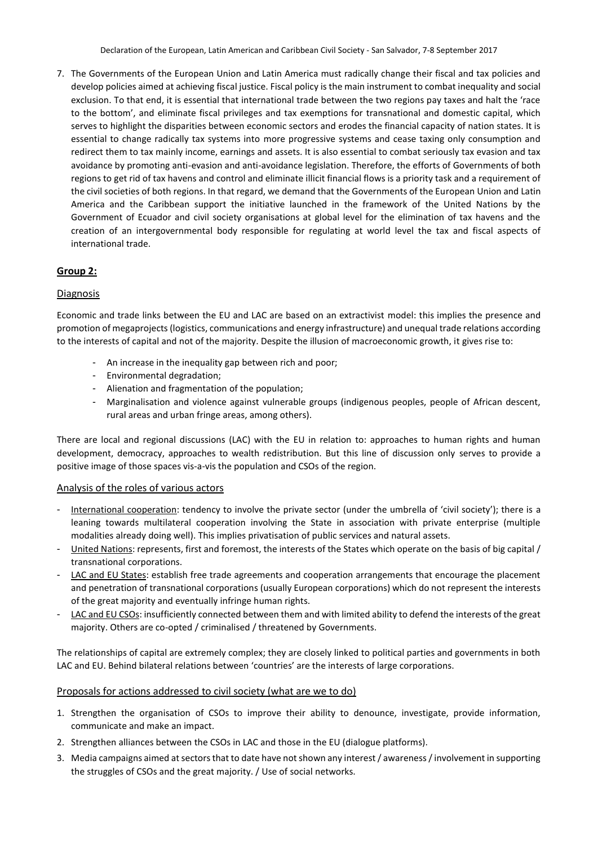7. The Governments of the European Union and Latin America must radically change their fiscal and tax policies and develop policies aimed at achieving fiscal justice. Fiscal policy is the main instrument to combat inequality and social exclusion. To that end, it is essential that international trade between the two regions pay taxes and halt the 'race to the bottom', and eliminate fiscal privileges and tax exemptions for transnational and domestic capital, which serves to highlight the disparities between economic sectors and erodes the financial capacity of nation states. It is essential to change radically tax systems into more progressive systems and cease taxing only consumption and redirect them to tax mainly income, earnings and assets. It is also essential to combat seriously tax evasion and tax avoidance by promoting anti-evasion and anti-avoidance legislation. Therefore, the efforts of Governments of both regions to get rid of tax havens and control and eliminate illicit financial flows is a priority task and a requirement of the civil societies of both regions. In that regard, we demand that the Governments of the European Union and Latin America and the Caribbean support the initiative launched in the framework of the United Nations by the Government of Ecuador and civil society organisations at global level for the elimination of tax havens and the creation of an intergovernmental body responsible for regulating at world level the tax and fiscal aspects of international trade.

# **Group 2:**

# Diagnosis

Economic and trade links between the EU and LAC are based on an extractivist model: this implies the presence and promotion of megaprojects (logistics, communications and energy infrastructure) and unequal trade relations according to the interests of capital and not of the majority. Despite the illusion of macroeconomic growth, it gives rise to:

- An increase in the inequality gap between rich and poor;
- Environmental degradation;
- Alienation and fragmentation of the population;
- Marginalisation and violence against vulnerable groups (indigenous peoples, people of African descent, rural areas and urban fringe areas, among others).

There are local and regional discussions (LAC) with the EU in relation to: approaches to human rights and human development, democracy, approaches to wealth redistribution. But this line of discussion only serves to provide a positive image of those spaces vis-a-vis the population and CSOs of the region.

# Analysis of the roles of various actors

- International cooperation: tendency to involve the private sector (under the umbrella of 'civil society'); there is a leaning towards multilateral cooperation involving the State in association with private enterprise (multiple modalities already doing well). This implies privatisation of public services and natural assets.
- United Nations: represents, first and foremost, the interests of the States which operate on the basis of big capital / transnational corporations.
- LAC and EU States: establish free trade agreements and cooperation arrangements that encourage the placement and penetration of transnational corporations (usually European corporations) which do not represent the interests of the great majority and eventually infringe human rights.
- LAC and EU CSOs: insufficiently connected between them and with limited ability to defend the interests of the great majority. Others are co-opted / criminalised / threatened by Governments.

The relationships of capital are extremely complex; they are closely linked to political parties and governments in both LAC and EU. Behind bilateral relations between 'countries' are the interests of large corporations.

# Proposals for actions addressed to civil society (what are we to do)

- 1. Strengthen the organisation of CSOs to improve their ability to denounce, investigate, provide information, communicate and make an impact.
- 2. Strengthen alliances between the CSOs in LAC and those in the EU (dialogue platforms).
- 3. Media campaigns aimed at sectors that to date have not shown any interest / awareness / involvement in supporting the struggles of CSOs and the great majority. / Use of social networks.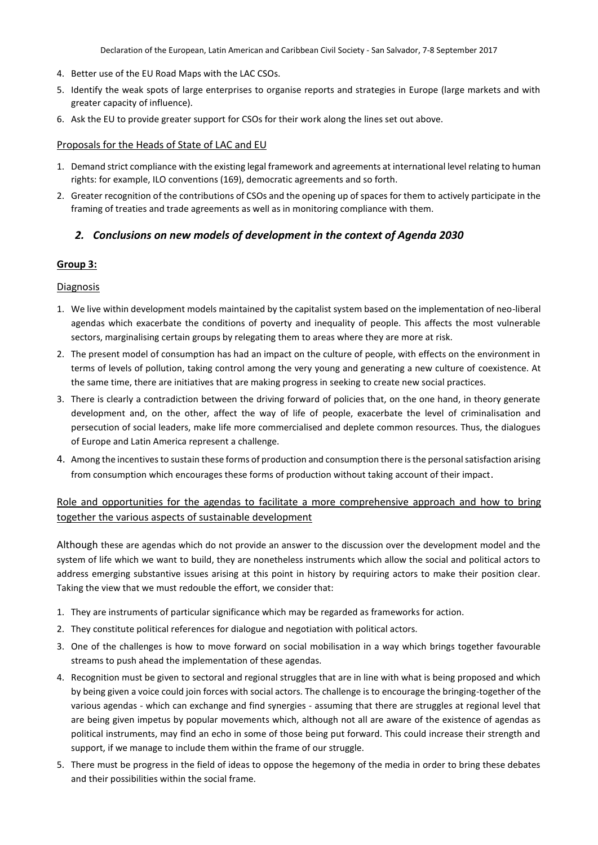- 4. Better use of the EU Road Maps with the LAC CSOs.
- 5. Identify the weak spots of large enterprises to organise reports and strategies in Europe (large markets and with greater capacity of influence).
- 6. Ask the EU to provide greater support for CSOs for their work along the lines set out above.

## Proposals for the Heads of State of LAC and EU

- 1. Demand strict compliance with the existing legal framework and agreements at international level relating to human rights: for example, ILO conventions (169), democratic agreements and so forth.
- 2. Greater recognition of the contributions of CSOs and the opening up of spaces for them to actively participate in the framing of treaties and trade agreements as well as in monitoring compliance with them.

# *2. Conclusions on new models of development in the context of Agenda 2030*

# **Group 3:**

## **Diagnosis**

- 1. We live within development models maintained by the capitalist system based on the implementation of neo-liberal agendas which exacerbate the conditions of poverty and inequality of people. This affects the most vulnerable sectors, marginalising certain groups by relegating them to areas where they are more at risk.
- 2. The present model of consumption has had an impact on the culture of people, with effects on the environment in terms of levels of pollution, taking control among the very young and generating a new culture of coexistence. At the same time, there are initiatives that are making progress in seeking to create new social practices.
- 3. There is clearly a contradiction between the driving forward of policies that, on the one hand, in theory generate development and, on the other, affect the way of life of people, exacerbate the level of criminalisation and persecution of social leaders, make life more commercialised and deplete common resources. Thus, the dialogues of Europe and Latin America represent a challenge.
- 4. Among the incentives to sustain these forms of production and consumption there is the personal satisfaction arising from consumption which encourages these forms of production without taking account of their impact.

# Role and opportunities for the agendas to facilitate a more comprehensive approach and how to bring together the various aspects of sustainable development

Although these are agendas which do not provide an answer to the discussion over the development model and the system of life which we want to build, they are nonetheless instruments which allow the social and political actors to address emerging substantive issues arising at this point in history by requiring actors to make their position clear. Taking the view that we must redouble the effort, we consider that:

- 1. They are instruments of particular significance which may be regarded as frameworks for action.
- 2. They constitute political references for dialogue and negotiation with political actors.
- 3. One of the challenges is how to move forward on social mobilisation in a way which brings together favourable streams to push ahead the implementation of these agendas.
- 4. Recognition must be given to sectoral and regional struggles that are in line with what is being proposed and which by being given a voice could join forces with social actors. The challenge is to encourage the bringing-together of the various agendas - which can exchange and find synergies - assuming that there are struggles at regional level that are being given impetus by popular movements which, although not all are aware of the existence of agendas as political instruments, may find an echo in some of those being put forward. This could increase their strength and support, if we manage to include them within the frame of our struggle.
- 5. There must be progress in the field of ideas to oppose the hegemony of the media in order to bring these debates and their possibilities within the social frame.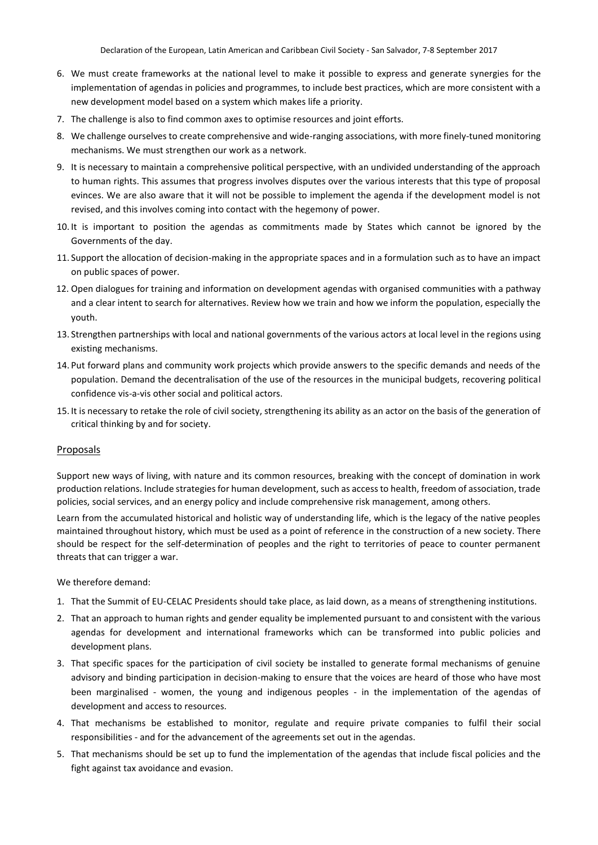- 6. We must create frameworks at the national level to make it possible to express and generate synergies for the implementation of agendas in policies and programmes, to include best practices, which are more consistent with a new development model based on a system which makes life a priority.
- 7. The challenge is also to find common axes to optimise resources and joint efforts.
- 8. We challenge ourselves to create comprehensive and wide-ranging associations, with more finely-tuned monitoring mechanisms. We must strengthen our work as a network.
- 9. It is necessary to maintain a comprehensive political perspective, with an undivided understanding of the approach to human rights. This assumes that progress involves disputes over the various interests that this type of proposal evinces. We are also aware that it will not be possible to implement the agenda if the development model is not revised, and this involves coming into contact with the hegemony of power.
- 10. It is important to position the agendas as commitments made by States which cannot be ignored by the Governments of the day.
- 11. Support the allocation of decision-making in the appropriate spaces and in a formulation such as to have an impact on public spaces of power.
- 12. Open dialogues for training and information on development agendas with organised communities with a pathway and a clear intent to search for alternatives. Review how we train and how we inform the population, especially the youth.
- 13. Strengthen partnerships with local and national governments of the various actors at local level in the regions using existing mechanisms.
- 14. Put forward plans and community work projects which provide answers to the specific demands and needs of the population. Demand the decentralisation of the use of the resources in the municipal budgets, recovering political confidence vis-a-vis other social and political actors.
- 15. It is necessary to retake the role of civil society, strengthening its ability as an actor on the basis of the generation of critical thinking by and for society.

#### Proposals

Support new ways of living, with nature and its common resources, breaking with the concept of domination in work production relations. Include strategies for human development, such as access to health, freedom of association, trade policies, social services, and an energy policy and include comprehensive risk management, among others.

Learn from the accumulated historical and holistic way of understanding life, which is the legacy of the native peoples maintained throughout history, which must be used as a point of reference in the construction of a new society. There should be respect for the self-determination of peoples and the right to territories of peace to counter permanent threats that can trigger a war.

#### We therefore demand:

- 1. That the Summit of EU-CELAC Presidents should take place, as laid down, as a means of strengthening institutions.
- 2. That an approach to human rights and gender equality be implemented pursuant to and consistent with the various agendas for development and international frameworks which can be transformed into public policies and development plans.
- 3. That specific spaces for the participation of civil society be installed to generate formal mechanisms of genuine advisory and binding participation in decision-making to ensure that the voices are heard of those who have most been marginalised - women, the young and indigenous peoples - in the implementation of the agendas of development and access to resources.
- 4. That mechanisms be established to monitor, regulate and require private companies to fulfil their social responsibilities - and for the advancement of the agreements set out in the agendas.
- 5. That mechanisms should be set up to fund the implementation of the agendas that include fiscal policies and the fight against tax avoidance and evasion.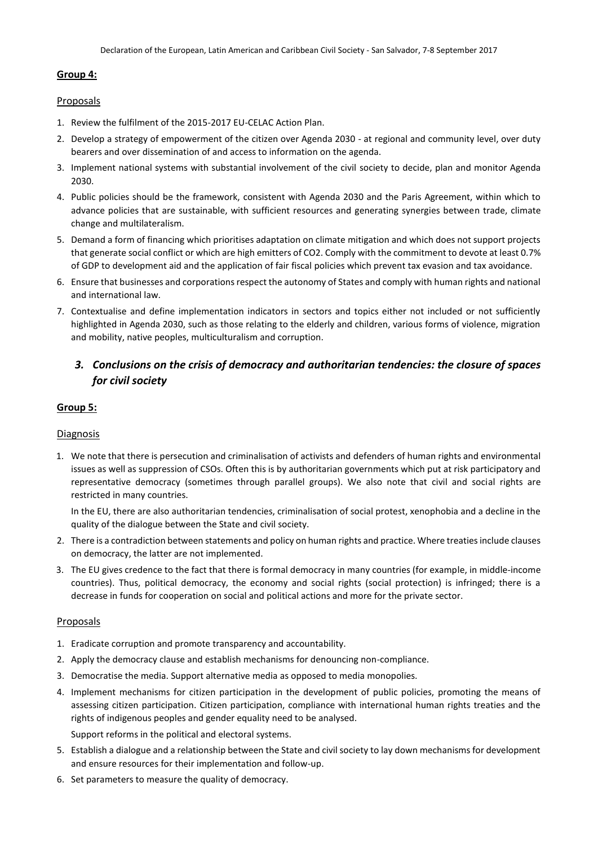## **Group 4:**

### Proposals

- 1. Review the fulfilment of the 2015-2017 EU-CELAC Action Plan.
- 2. Develop a strategy of empowerment of the citizen over Agenda 2030 at regional and community level, over duty bearers and over dissemination of and access to information on the agenda.
- 3. Implement national systems with substantial involvement of the civil society to decide, plan and monitor Agenda 2030.
- 4. Public policies should be the framework, consistent with Agenda 2030 and the Paris Agreement, within which to advance policies that are sustainable, with sufficient resources and generating synergies between trade, climate change and multilateralism.
- 5. Demand a form of financing which prioritises adaptation on climate mitigation and which does not support projects that generate social conflict or which are high emitters of CO2. Comply with the commitment to devote at least 0.7% of GDP to development aid and the application of fair fiscal policies which prevent tax evasion and tax avoidance.
- 6. Ensure that businesses and corporations respect the autonomy of States and comply with human rights and national and international law.
- 7. Contextualise and define implementation indicators in sectors and topics either not included or not sufficiently highlighted in Agenda 2030, such as those relating to the elderly and children, various forms of violence, migration and mobility, native peoples, multiculturalism and corruption.

# *3. Conclusions on the crisis of democracy and authoritarian tendencies: the closure of spaces for civil society*

# **Group 5:**

# Diagnosis

1. We note that there is persecution and criminalisation of activists and defenders of human rights and environmental issues as well as suppression of CSOs. Often this is by authoritarian governments which put at risk participatory and representative democracy (sometimes through parallel groups). We also note that civil and social rights are restricted in many countries.

In the EU, there are also authoritarian tendencies, criminalisation of social protest, xenophobia and a decline in the quality of the dialogue between the State and civil society.

- 2. There is a contradiction between statements and policy on human rights and practice. Where treaties include clauses on democracy, the latter are not implemented.
- 3. The EU gives credence to the fact that there is formal democracy in many countries (for example, in middle-income countries). Thus, political democracy, the economy and social rights (social protection) is infringed; there is a decrease in funds for cooperation on social and political actions and more for the private sector.

### Proposals

- 1. Eradicate corruption and promote transparency and accountability.
- 2. Apply the democracy clause and establish mechanisms for denouncing non-compliance.
- 3. Democratise the media. Support alternative media as opposed to media monopolies.
- 4. Implement mechanisms for citizen participation in the development of public policies, promoting the means of assessing citizen participation. Citizen participation, compliance with international human rights treaties and the rights of indigenous peoples and gender equality need to be analysed. Support reforms in the political and electoral systems.
- 5. Establish a dialogue and a relationship between the State and civil society to lay down mechanisms for development and ensure resources for their implementation and follow-up.
- 6. Set parameters to measure the quality of democracy.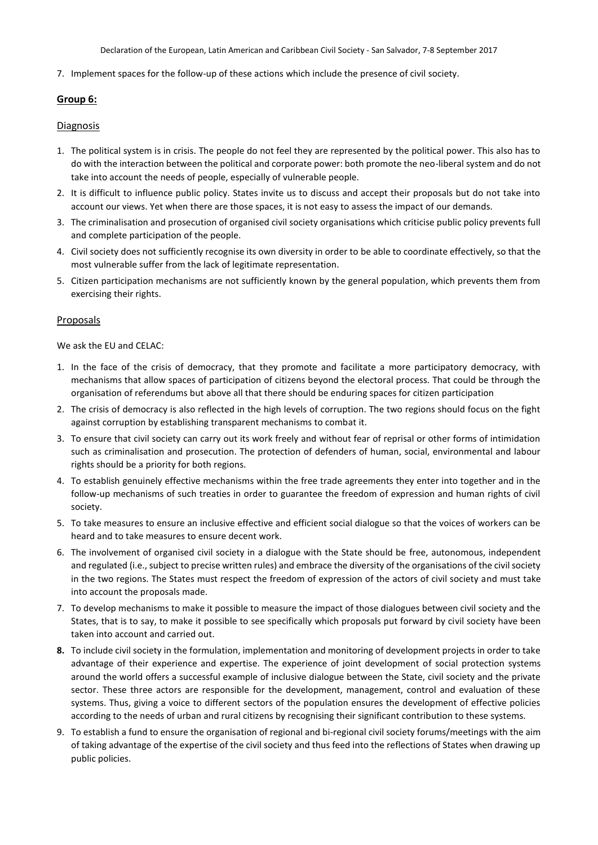7. Implement spaces for the follow-up of these actions which include the presence of civil society.

### **Group 6:**

### **Diagnosis**

- 1. The political system is in crisis. The people do not feel they are represented by the political power. This also has to do with the interaction between the political and corporate power: both promote the neo-liberal system and do not take into account the needs of people, especially of vulnerable people.
- 2. It is difficult to influence public policy. States invite us to discuss and accept their proposals but do not take into account our views. Yet when there are those spaces, it is not easy to assess the impact of our demands.
- 3. The criminalisation and prosecution of organised civil society organisations which criticise public policy prevents full and complete participation of the people.
- 4. Civil society does not sufficiently recognise its own diversity in order to be able to coordinate effectively, so that the most vulnerable suffer from the lack of legitimate representation.
- 5. Citizen participation mechanisms are not sufficiently known by the general population, which prevents them from exercising their rights.

### Proposals

We ask the EU and CELAC:

- 1. In the face of the crisis of democracy, that they promote and facilitate a more participatory democracy, with mechanisms that allow spaces of participation of citizens beyond the electoral process. That could be through the organisation of referendums but above all that there should be enduring spaces for citizen participation
- 2. The crisis of democracy is also reflected in the high levels of corruption. The two regions should focus on the fight against corruption by establishing transparent mechanisms to combat it.
- 3. To ensure that civil society can carry out its work freely and without fear of reprisal or other forms of intimidation such as criminalisation and prosecution. The protection of defenders of human, social, environmental and labour rights should be a priority for both regions.
- 4. To establish genuinely effective mechanisms within the free trade agreements they enter into together and in the follow-up mechanisms of such treaties in order to guarantee the freedom of expression and human rights of civil society.
- 5. To take measures to ensure an inclusive effective and efficient social dialogue so that the voices of workers can be heard and to take measures to ensure decent work.
- 6. The involvement of organised civil society in a dialogue with the State should be free, autonomous, independent and regulated (i.e., subject to precise written rules) and embrace the diversity of the organisations of the civil society in the two regions. The States must respect the freedom of expression of the actors of civil society and must take into account the proposals made.
- 7. To develop mechanisms to make it possible to measure the impact of those dialogues between civil society and the States, that is to say, to make it possible to see specifically which proposals put forward by civil society have been taken into account and carried out.
- **8.** To include civil society in the formulation, implementation and monitoring of development projects in order to take advantage of their experience and expertise. The experience of joint development of social protection systems around the world offers a successful example of inclusive dialogue between the State, civil society and the private sector. These three actors are responsible for the development, management, control and evaluation of these systems. Thus, giving a voice to different sectors of the population ensures the development of effective policies according to the needs of urban and rural citizens by recognising their significant contribution to these systems.
- 9. To establish a fund to ensure the organisation of regional and bi-regional civil society forums/meetings with the aim of taking advantage of the expertise of the civil society and thus feed into the reflections of States when drawing up public policies.